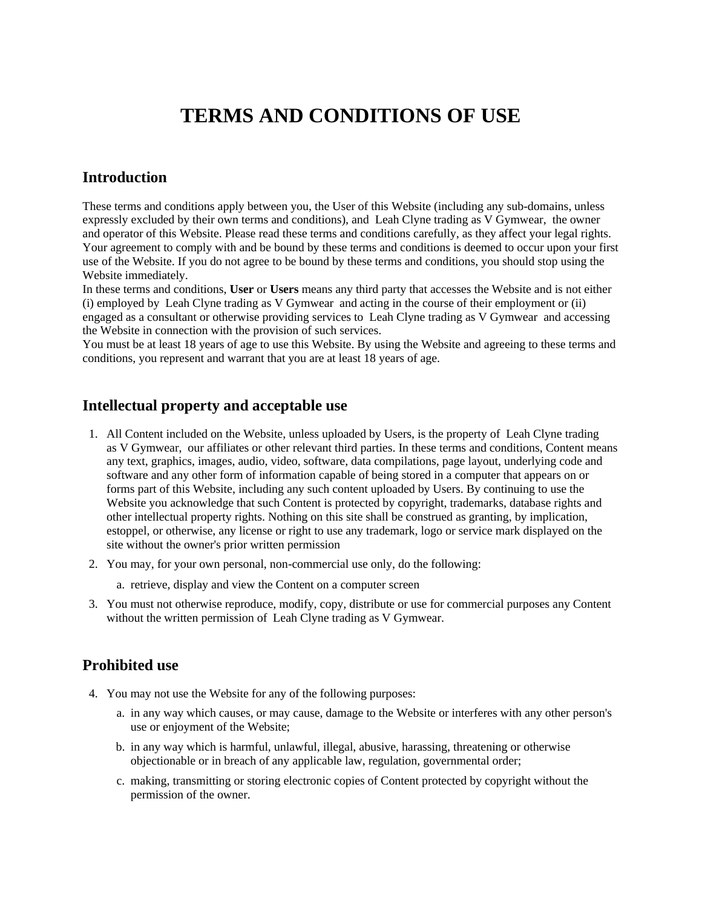# **TERMS AND CONDITIONS OF USE**

#### **Introduction**

These terms and conditions apply between you, the User of this Website (including any sub-domains, unless expressly excluded by their own terms and conditions), and Leah Clyne trading as V Gymwear, the owner and operator of this Website. Please read these terms and conditions carefully, as they affect your legal rights. Your agreement to comply with and be bound by these terms and conditions is deemed to occur upon your first use of the Website. If you do not agree to be bound by these terms and conditions, you should stop using the Website immediately.

In these terms and conditions, **User** or **Users** means any third party that accesses the Website and is not either (i) employed by Leah Clyne trading as V Gymwear and acting in the course of their employment or (ii) engaged as a consultant or otherwise providing services to Leah Clyne trading as V Gymwear and accessing the Website in connection with the provision of such services.

You must be at least 18 years of age to use this Website. By using the Website and agreeing to these terms and conditions, you represent and warrant that you are at least 18 years of age.

#### **Intellectual property and acceptable use**

- 1. All Content included on the Website, unless uploaded by Users, is the property of Leah Clyne trading as V Gymwear, our affiliates or other relevant third parties. In these terms and conditions, Content means any text, graphics, images, audio, video, software, data compilations, page layout, underlying code and software and any other form of information capable of being stored in a computer that appears on or forms part of this Website, including any such content uploaded by Users. By continuing to use the Website you acknowledge that such Content is protected by copyright, trademarks, database rights and other intellectual property rights. Nothing on this site shall be construed as granting, by implication, estoppel, or otherwise, any license or right to use any trademark, logo or service mark displayed on the site without the owner's prior written permission
- 2. You may, for your own personal, non-commercial use only, do the following:
	- a. retrieve, display and view the Content on a computer screen
- 3. You must not otherwise reproduce, modify, copy, distribute or use for commercial purposes any Content without the written permission of Leah Clyne trading as V Gymwear.

#### **Prohibited use**

- 4. You may not use the Website for any of the following purposes:
	- a. in any way which causes, or may cause, damage to the Website or interferes with any other person's use or enjoyment of the Website;
	- b. in any way which is harmful, unlawful, illegal, abusive, harassing, threatening or otherwise objectionable or in breach of any applicable law, regulation, governmental order;
	- c. making, transmitting or storing electronic copies of Content protected by copyright without the permission of the owner.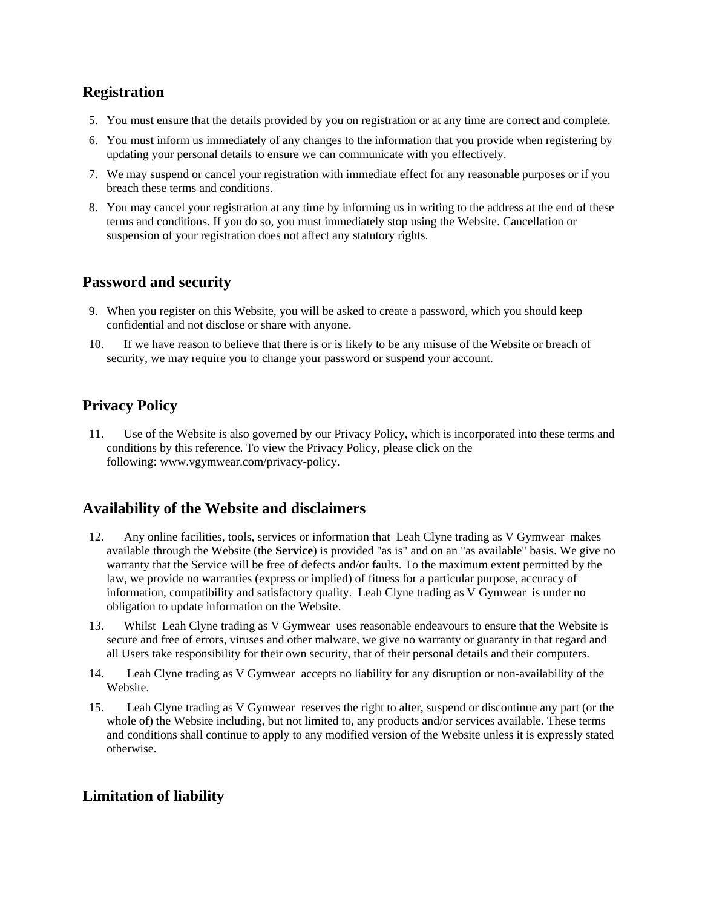## **Registration**

- 5. You must ensure that the details provided by you on registration or at any time are correct and complete.
- 6. You must inform us immediately of any changes to the information that you provide when registering by updating your personal details to ensure we can communicate with you effectively.
- 7. We may suspend or cancel your registration with immediate effect for any reasonable purposes or if you breach these terms and conditions.
- 8. You may cancel your registration at any time by informing us in writing to the address at the end of these terms and conditions. If you do so, you must immediately stop using the Website. Cancellation or suspension of your registration does not affect any statutory rights.

# **Password and security**

- 9. When you register on this Website, you will be asked to create a password, which you should keep confidential and not disclose or share with anyone.
- 10. If we have reason to believe that there is or is likely to be any misuse of the Website or breach of security, we may require you to change your password or suspend your account.

# **Privacy Policy**

11. Use of the Website is also governed by our Privacy Policy, which is incorporated into these terms and conditions by this reference. To view the Privacy Policy, please click on the following: www.vgymwear.com/privacy-policy.

### **Availability of the Website and disclaimers**

- 12. Any online facilities, tools, services or information that Leah Clyne trading as V Gymwear makes available through the Website (the **Service**) is provided "as is" and on an "as available" basis. We give no warranty that the Service will be free of defects and/or faults. To the maximum extent permitted by the law, we provide no warranties (express or implied) of fitness for a particular purpose, accuracy of information, compatibility and satisfactory quality. Leah Clyne trading as V Gymwear is under no obligation to update information on the Website.
- 13. Whilst Leah Clyne trading as V Gymwear uses reasonable endeavours to ensure that the Website is secure and free of errors, viruses and other malware, we give no warranty or guaranty in that regard and all Users take responsibility for their own security, that of their personal details and their computers.
- 14. Leah Clyne trading as V Gymwear accepts no liability for any disruption or non-availability of the Website.
- 15. Leah Clyne trading as V Gymwear reserves the right to alter, suspend or discontinue any part (or the whole of) the Website including, but not limited to, any products and/or services available. These terms and conditions shall continue to apply to any modified version of the Website unless it is expressly stated otherwise.

### **Limitation of liability**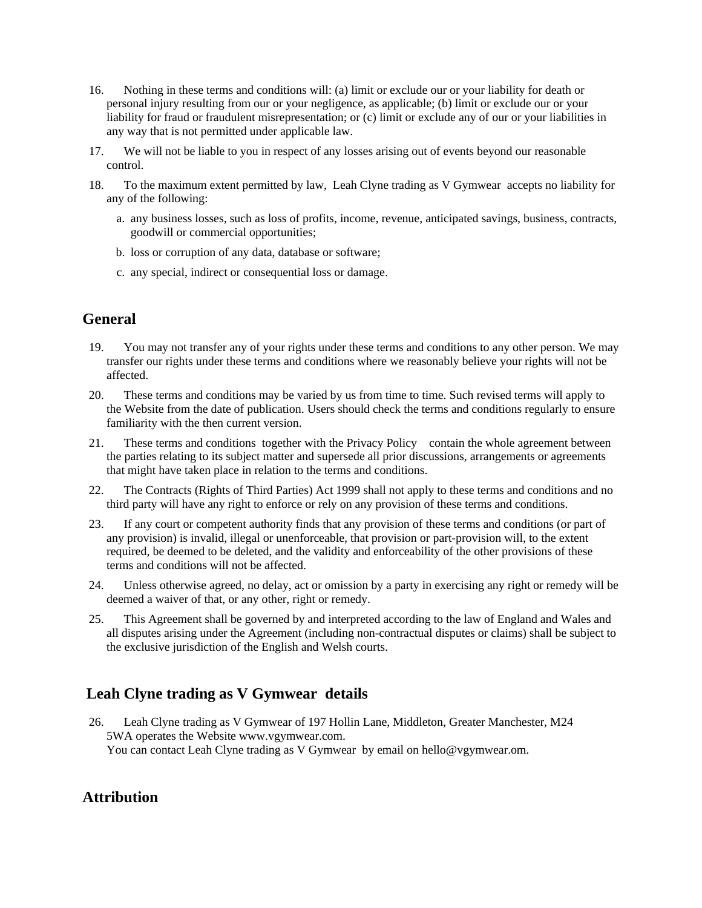- 16. Nothing in these terms and conditions will: (a) limit or exclude our or your liability for death or personal injury resulting from our or your negligence, as applicable; (b) limit or exclude our or your liability for fraud or fraudulent misrepresentation; or (c) limit or exclude any of our or your liabilities in any way that is not permitted under applicable law.
- 17. We will not be liable to you in respect of any losses arising out of events beyond our reasonable control.
- 18. To the maximum extent permitted by law, Leah Clyne trading as V Gymwear accepts no liability for any of the following:
	- a. any business losses, such as loss of profits, income, revenue, anticipated savings, business, contracts, goodwill or commercial opportunities;
	- b. loss or corruption of any data, database or software;
	- c. any special, indirect or consequential loss or damage.

# **General**

- 19. You may not transfer any of your rights under these terms and conditions to any other person. We may transfer our rights under these terms and conditions where we reasonably believe your rights will not be affected.
- 20. These terms and conditions may be varied by us from time to time. Such revised terms will apply to the Website from the date of publication. Users should check the terms and conditions regularly to ensure familiarity with the then current version.
- 21. These terms and conditions together with the Privacy Policy contain the whole agreement between the parties relating to its subject matter and supersede all prior discussions, arrangements or agreements that might have taken place in relation to the terms and conditions.
- 22. The Contracts (Rights of Third Parties) Act 1999 shall not apply to these terms and conditions and no third party will have any right to enforce or rely on any provision of these terms and conditions.
- 23. If any court or competent authority finds that any provision of these terms and conditions (or part of any provision) is invalid, illegal or unenforceable, that provision or part-provision will, to the extent required, be deemed to be deleted, and the validity and enforceability of the other provisions of these terms and conditions will not be affected.
- 24. Unless otherwise agreed, no delay, act or omission by a party in exercising any right or remedy will be deemed a waiver of that, or any other, right or remedy.
- 25. This Agreement shall be governed by and interpreted according to the law of England and Wales and all disputes arising under the Agreement (including non-contractual disputes or claims) shall be subject to the exclusive jurisdiction of the English and Welsh courts.

# **Leah Clyne trading as V Gymwear details**

26. Leah Clyne trading as V Gymwear of 197 Hollin Lane, Middleton, Greater Manchester, M24 5WA operates the Website www.vgymwear.com. You can contact Leah Clyne trading as V Gymwear by email on hello@vgymwear.om.

### **Attribution**